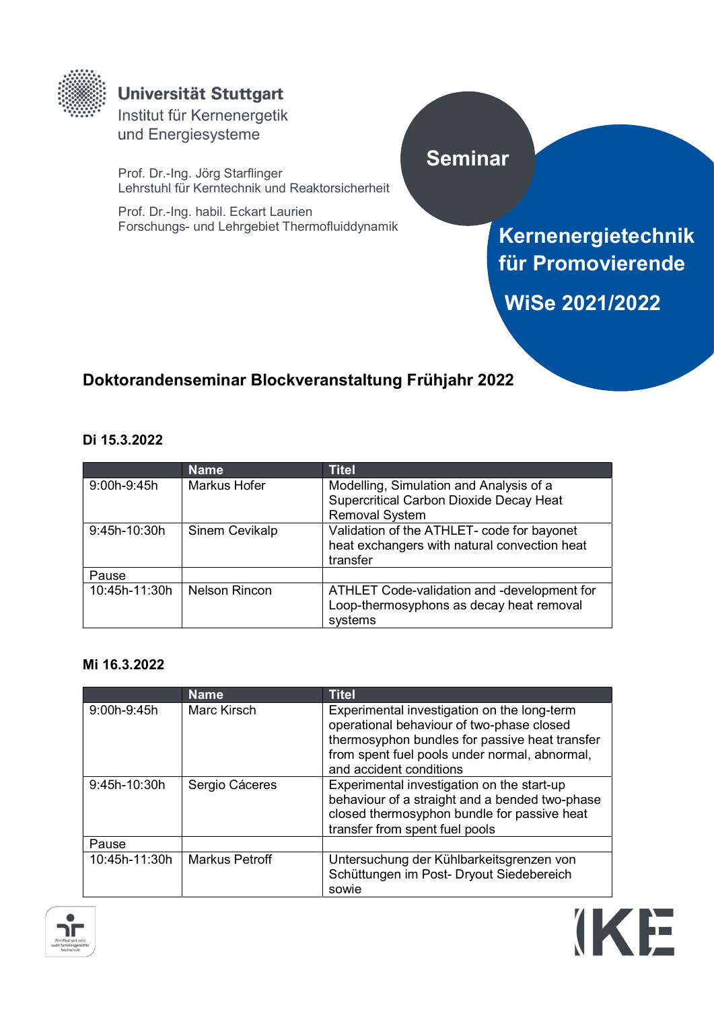

## **Universität Stuttgart**

Institut für Kernenergetik und Energiesysteme

Prof. Dr.-Ing. Jörg Starflinger Lehrstuhl für Kerntechnik und Reaktorsicherheit

Prof. Dr.-Ing. habil. Eckart Laurien Forschungs- und Lehrgebiet Thermofluiddynamik

# Seminar

Kernenergietechnik für Promovierende WiSe 2021/2022

**IKE** 

## Doktorandenseminar Blockveranstaltung Frühjahr 2022

### Di 15.3.2022

|               | <b>Name</b>          | <b>Titel</b>                                   |
|---------------|----------------------|------------------------------------------------|
| 9:00h-9:45h   | Markus Hofer         | Modelling, Simulation and Analysis of a        |
|               |                      | <b>Supercritical Carbon Dioxide Decay Heat</b> |
|               |                      | <b>Removal System</b>                          |
| 9:45h-10:30h  | Sinem Cevikalp       | Validation of the ATHLET- code for bayonet     |
|               |                      | heat exchangers with natural convection heat   |
|               |                      | transfer                                       |
| Pause         |                      |                                                |
| 10:45h-11:30h | <b>Nelson Rincon</b> | ATHLET Code-validation and -development for    |
|               |                      | Loop-thermosyphons as decay heat removal       |
|               |                      | systems                                        |

### Mi 16.3.2022

|                | <b>Name</b>           | <b>Titel</b>                                                                                                                                                                                                           |
|----------------|-----------------------|------------------------------------------------------------------------------------------------------------------------------------------------------------------------------------------------------------------------|
| $9:00h-9:45h$  | Marc Kirsch           | Experimental investigation on the long-term<br>operational behaviour of two-phase closed<br>thermosyphon bundles for passive heat transfer<br>from spent fuel pools under normal, abnormal,<br>and accident conditions |
| $9:45h-10:30h$ | Sergio Cáceres        | Experimental investigation on the start-up<br>behaviour of a straight and a bended two-phase<br>closed thermosyphon bundle for passive heat<br>transfer from spent fuel pools                                          |
| Pause          |                       |                                                                                                                                                                                                                        |
| 10:45h-11:30h  | <b>Markus Petroff</b> | Untersuchung der Kühlbarkeitsgrenzen von<br>Schüttungen im Post- Dryout Siedebereich<br>sowie                                                                                                                          |